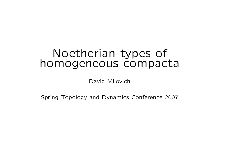# Noetherian types of homogeneous compacta

David Milovich

Spring Topology and Dynamics Conference 2007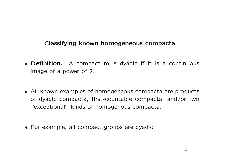## Classifying known homogeneous compacta

- **Definition.** A compactum is dyadic if it is a continuous image of a power of 2.
- All known examples of homogeneous compacta are products of dyadic compacta, first-countable compacta, and/or two "exceptional" kinds of homogenous compacta.
- For example, all compact groups are dyadic.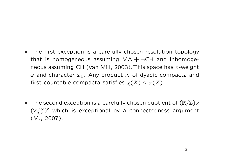- The first exception is a carefully chosen resolution topology that is homogeneous assuming  $MA + \neg CH$  and inhomogeneous assuming CH (van Mill, 2003). This space has  $\pi$ -weight  $\omega$  and character  $\omega_1$ . Any product X of dyadic compacta and first countable compacta satisfies  $\chi(X) \leq \pi(X)$ .
- The second exception is a carefully chosen quotient of  $(\mathbb{R}/\mathbb{Z})\times$  $(2\frac{\omega \cdot \omega}{\omega})^c$  which is exceptional by a connectedness argument (M., 2007).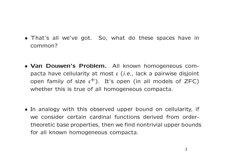- That's all we've got. So, what do these spaces have in common?
- Van Douwen's Problem. All known homogeneous compacta have cellularity at most  $c$  (*i.e.*, lack a pairwise disjoint open family of size  $c^+$ ). It's open (in all models of ZFC) whether this is true of all homogeneous compacta.
- In analogy with this observed upper bound on cellularity, if we consider certain cardinal functions derived from ordertheoretic base properties, then we find nontrivial upper bounds for all known homogeneous compacta.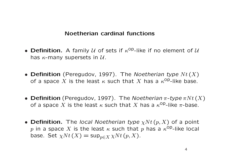## Noetherian cardinal functions

- Definition. A family  $U$  of sets if  $\kappa^{OP}$ -like if no element of  $U$ has  $\kappa$ -many supersets in  $\mathcal{U}$ .
- Definition (Peregudov, 1997). The Noetherian type  $Nt(X)$ of a space X is the least  $\kappa$  such that X has a  $\kappa^{op}$ -like base.
- Definition (Peregudov, 1997). The Noetherian  $\pi$ -type  $\pi N t(X)$ of a space X is the least  $\kappa$  such that X has a  $\kappa^{\text{op}}$ -like  $\pi$ -base.
- Definition. The local Noetherian type  $\chi Nt(p,X)$  of a point p in a space  $X$  is the least  $\kappa$  such that  $p$  has a  $\kappa^{\mathsf{Op}}$ -like local base. Set  $\chi N t$  (X) = sup<sub>p∈X</sub>  $\chi N t$  (p, X).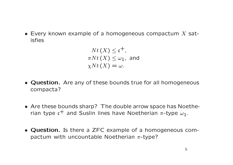• Every known example of a homogeneous compactum  $X$  satisfies

$$
Nt(X) \leq \mathfrak{c}^+,
$$
  
\n
$$
\pi Nt(X) \leq \omega_1, \text{ and}
$$
  
\n
$$
\chi Nt(X) = \omega.
$$

- Question. Are any of these bounds true for all homogeneous compacta?
- Are these bounds sharp? The double arrow space has Noetherian type  $c^+$  and Suslin lines have Noetherian  $\pi$ -type  $\omega_1$ .
- Question. Is there a ZFC example of a homogeneous compactum with uncountable Noetherian  $\pi$ -type?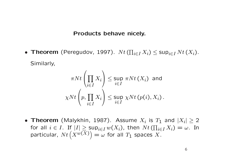#### Products behave nicely.

• Theorem (Peregudov, 1997).  $Nt$  (  $\overline{a}$  $i\in I$   $X_i$ )  $\leq$  Sup $_{i\in I}$   $N$ t  $(X_i)$ . Similarly,

$$
\pi N t \left( \prod_{i \in I} X_i \right) \le \sup_{i \in I} \pi N t \left( X_i \right) \text{ and}
$$
  

$$
\chi N t \left( p, \prod_{i \in I} X_i \right) \le \sup_{i \in I} \chi N t \left( p(i), X_i \right).
$$

• Theorem (Malykhin, 1987). Assume  $X_i$  is  $T_1$  and  $|X_i|\geq 2$ for all  $i \in I$ . If  $|I| \geq \sup_{i \in I} w(X_i)$ , then  $N t$  (  $\frac{1}{\sqrt{2}}$  $\sup_{i\in I} w(X_i)$ , then  $Nt\left(\prod_{i\in I} X_i\right)=\omega.$  In particular,  $N t\left(X^{w(X)}\right)=\omega$  for all  $T_1$  spaces  $X$ .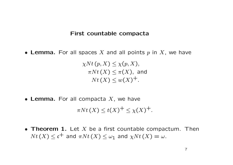#### First countable compacta

• Lemma. For all spaces X and all points  $p$  in  $X$ , we have

 $\chi N t$   $(p, X) \leq \chi(p, X),$  $\pi N t(X) \leq \pi(X)$ , and  $N t(X) \leq w(X)^{+}.$ 

• Lemma. For all compacta  $X$ , we have

 $\pi N t(X) \leq t(X)^{+} \leq \chi(X)^{+}.$ 

• Theorem 1. Let  $X$  be a first countable compactum. Then  $N t(X) \leq c^+$  and  $\pi N t(X) \leq \omega_1$  and  $\chi N t(X) = \omega$ .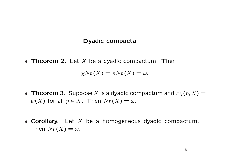#### Dyadic compacta

• Theorem 2. Let X be a dyadic compactum. Then

 $\chi N t$   $(X) = \pi N t$   $(X) = \omega$ .

- Theorem 3. Suppose X is a dyadic compactum and  $\pi \chi(p,X) =$  $w(X)$  for all  $p \in X$ . Then  $Nt(X) = \omega$ .
- Corollary. Let  $X$  be a homogeneous dyadic compactum. Then  $N t$   $(X) = \omega$ .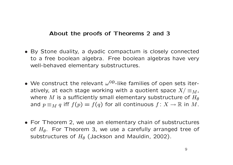## About the proofs of Theorems 2 and 3

- By Stone duality, a dyadic compactum is closely connected to a free boolean algebra. Free boolean algebras have very well-behaved elementary substructures.
- We construct the relevant  $\omega^{\text{op}}$ -like families of open sets iteratively, at each stage working with a quotient space  $X/\equiv_M$ , where M is a sufficiently small elementary substructure of  $H_{\theta}$ and  $p \equiv_M q$  iff  $f(p) = f(q)$  for all continuous  $f: X \to \mathbb{R}$  in M.
- For Theorem 2, we use an elementary chain of substructures of  $H_{\theta}$ . For Theorem 3, we use a carefully arranged tree of substructures of  $H_{\theta}$  (Jackson and Mauldin, 2002).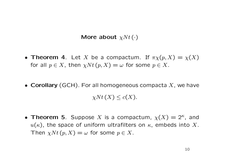## More about  $\chi N t$  ( $\cdot$ )

- Theorem 4. Let X be a compactum. If  $\pi \chi(p, X) = \chi(X)$ for all  $p \in X$ , then  $\chi N t$   $(p, X) = \omega$  for some  $p \in X$ .
- Corollary (GCH). For all homogeneous compacta  $X$ , we have  $\chi N t(X) \leq c(X).$
- Theorem 5. Suppose X is a compactum,  $\chi(X) = 2^k$ , and  $u(\kappa)$ , the space of uniform ultrafilters on  $\kappa$ , embeds into X. Then  $\chi N t$   $(p, X) = \omega$  for some  $p \in X$ .